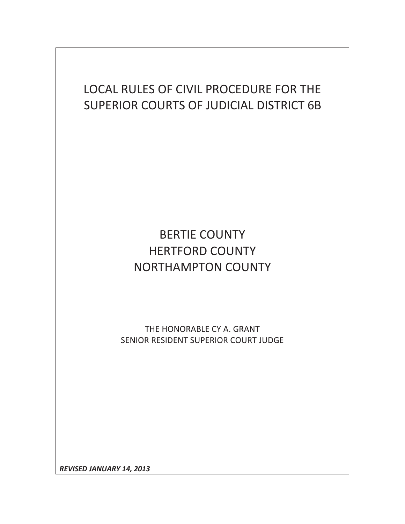# LOCAL RULES OF CIVIL PROCEDURE FOR THE SUPERIOR COURTS OF JUDICIAL DISTRICT 6B

# BERTIE COUNTY HERTFORD COUNTY NORTHAMPTON COUNTY

THE HONORABLE CY A. GRANT SENIOR RESIDENT SUPERIOR COURT JUDGE

*REVISED JANUARY 14, 2013*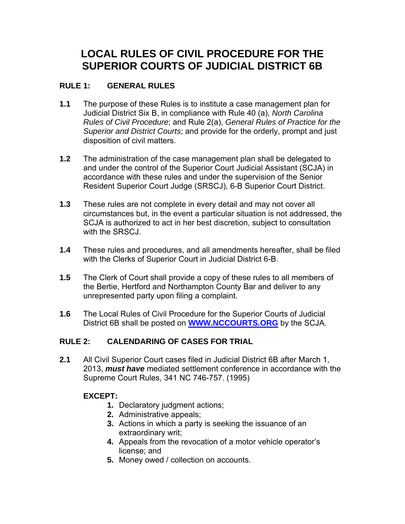## **LOCAL RULES OF CIVIL PROCEDURE FOR THE SUPERIOR COURTS OF JUDICIAL DISTRICT 6B**

## **RULE 1: GENERAL RULES**

- **1.1** The purpose of these Rules is to institute a case management plan for Judicial District Six B, in compliance with Rule 40 (a), *North Carolina Rules of Civil Procedure*; and Rule 2(a), *General Rules of Practice for the Superior and District Courts*; and provide for the orderly, prompt and just disposition of civil matters.
- **1.2** The administration of the case management plan shall be delegated to and under the control of the Superior Court Judicial Assistant (SCJA) in accordance with these rules and under the supervision of the Senior Resident Superior Court Judge (SRSCJ), 6-B Superior Court District.
- **1.3** These rules are not complete in every detail and may not cover all circumstances but, in the event a particular situation is not addressed, the SCJA is authorized to act in her best discretion, subject to consultation with the SRSCJ.
- **1.4** These rules and procedures, and all amendments hereafter, shall be filed with the Clerks of Superior Court in Judicial District 6-B.
- **1.5** The Clerk of Court shall provide a copy of these rules to all members of the Bertie, Hertford and Northampton County Bar and deliver to any unrepresented party upon filing a complaint.
- **1.6** The Local Rules of Civil Procedure for the Superior Courts of Judicial District 6B shall be posted on **[WWW.NCCOURTS.ORG](http://www.nccourts.org/)** by the SCJA.

## **RULE 2: CALENDARING OF CASES FOR TRIAL**

**2.1** All Civil Superior Court cases filed in Judicial District 6B after March 1, 2013, *must have* mediated settlement conference in accordance with the Supreme Court Rules, 341 NC 746-757. (1995)

## **EXCEPT:**

- **1.** Declaratory judgment actions;
- **2.** Administrative appeals;
- **3.** Actions in which a party is seeking the issuance of an extraordinary writ;
- **4.** Appeals from the revocation of a motor vehicle operator's license; and
- **5.** Money owed / collection on accounts.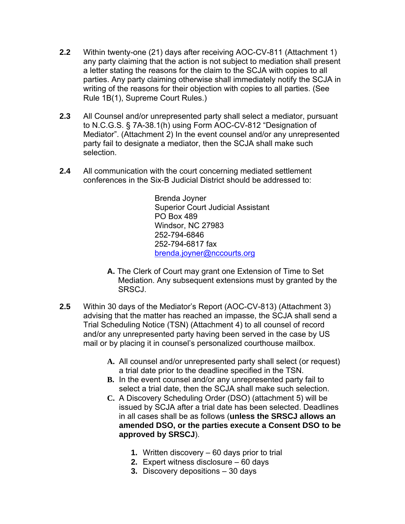- **2.2** Within twenty-one (21) days after receiving AOC-CV-811 (Attachment 1) any party claiming that the action is not subject to mediation shall present a letter stating the reasons for the claim to the SCJA with copies to all parties. Any party claiming otherwise shall immediately notify the SCJA in writing of the reasons for their objection with copies to all parties. (See Rule 1B(1), Supreme Court Rules.)
- **2.3** All Counsel and/or unrepresented party shall select a mediator, pursuant to N.C.G.S. § 7A-38.1(h) using Form AOC-CV-812 "Designation of Mediator". (Attachment 2) In the event counsel and/or any unrepresented party fail to designate a mediator, then the SCJA shall make such selection.
- **2.4** All communication with the court concerning mediated settlement conferences in the Six-B Judicial District should be addressed to:

Brenda Joyner Superior Court Judicial Assistant PO Box 489 Windsor, NC 27983 252-794-6846 252-794-6817 fax [brenda.joyner@nccourts.org](mailto:brenda.joyner@nccourts.org)

- **A.** The Clerk of Court may grant one Extension of Time to Set Mediation. Any subsequent extensions must by granted by the SRSCJ.
- **2.5** Within 30 days of the Mediator's Report (AOC-CV-813) (Attachment 3) advising that the matter has reached an impasse, the SCJA shall send a Trial Scheduling Notice (TSN) (Attachment 4) to all counsel of record and/or any unrepresented party having been served in the case by US mail or by placing it in counsel's personalized courthouse mailbox.
	- **A.** All counsel and/or unrepresented party shall select (or request) a trial date prior to the deadline specified in the TSN.
	- **B.** In the event counsel and/or any unrepresented party fail to select a trial date, then the SCJA shall make such selection.
	- **C.** A Discovery Scheduling Order (DSO) (attachment 5) will be issued by SCJA after a trial date has been selected. Deadlines in all cases shall be as follows (**unless the SRSCJ allows an amended DSO, or the parties execute a Consent DSO to be approved by SRSCJ**).
		- **1.** Written discovery 60 days prior to trial
		- **2.** Expert witness disclosure 60 days
		- **3.** Discovery depositions 30 days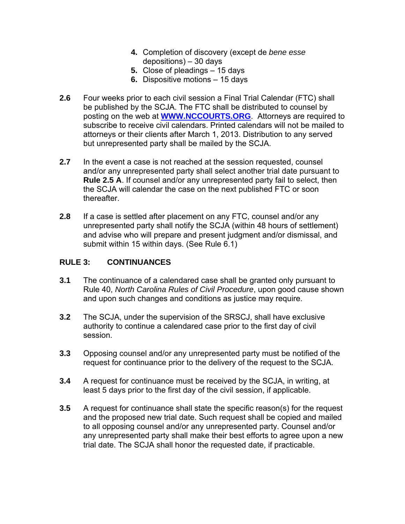- **4.** Completion of discovery (except de *bene esse* depositions) – 30 days
- **5.** Close of pleadings 15 days
- **6.** Dispositive motions 15 days
- **2.6** Four weeks prior to each civil session a Final Trial Calendar (FTC) shall be published by the SCJA. The FTC shall be distributed to counsel by posting on the web at **WWW.NCCOURTS.ORG**. Attorneys are required to subscribe to receive civil calendars. Printed calendars will not be mailed to attorneys or their clients after March 1, 2013. Distribution to any served but unrepresented party shall be mailed by the SCJA.
- **2.7** In the event a case is not reached at the session requested, counsel and/or any unrepresented party shall select another trial date pursuant to **Rule 2.5 A**. If counsel and/or any unrepresented party fail to select, then the SCJA will calendar the case on the next published FTC or soon thereafter.
- **2.8** If a case is settled after placement on any FTC, counsel and/or any unrepresented party shall notify the SCJA (within 48 hours of settlement) and advise who will prepare and present judgment and/or dismissal, and submit within 15 within days. (See Rule 6.1)

## **RULE 3: CONTINUANCES**

- **3.1** The continuance of a calendared case shall be granted only pursuant to Rule 40, *North Carolina Rules of Civil Procedure*, upon good cause shown and upon such changes and conditions as justice may require.
- **3.2** The SCJA, under the supervision of the SRSCJ, shall have exclusive authority to continue a calendared case prior to the first day of civil session.
- **3.3** Opposing counsel and/or any unrepresented party must be notified of the request for continuance prior to the delivery of the request to the SCJA.
- **3.4** A request for continuance must be received by the SCJA, in writing, at least 5 days prior to the first day of the civil session, if applicable.
- **3.5** A request for continuance shall state the specific reason(s) for the request and the proposed new trial date. Such request shall be copied and mailed to all opposing counsel and/or any unrepresented party. Counsel and/or any unrepresented party shall make their best efforts to agree upon a new trial date. The SCJA shall honor the requested date, if practicable.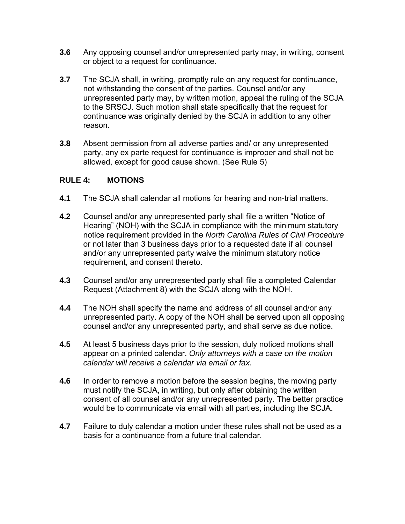- **3.6** Any opposing counsel and/or unrepresented party may, in writing, consent or object to a request for continuance.
- **3.7** The SCJA shall, in writing, promptly rule on any request for continuance, not withstanding the consent of the parties. Counsel and/or any unrepresented party may, by written motion, appeal the ruling of the SCJA to the SRSCJ. Such motion shall state specifically that the request for continuance was originally denied by the SCJA in addition to any other reason.
- **3.8** Absent permission from all adverse parties and/ or any unrepresented party, any ex parte request for continuance is improper and shall not be allowed, except for good cause shown. (See Rule 5)

## **RULE 4: MOTIONS**

- **4.1** The SCJA shall calendar all motions for hearing and non-trial matters.
- **4.2** Counsel and/or any unrepresented party shall file a written "Notice of Hearing" (NOH) with the SCJA in compliance with the minimum statutory notice requirement provided in the *North Carolina Rules of Civil Procedure* or not later than 3 business days prior to a requested date if all counsel and/or any unrepresented party waive the minimum statutory notice requirement, and consent thereto.
- **4.3** Counsel and/or any unrepresented party shall file a completed Calendar Request (Attachment 8) with the SCJA along with the NOH.
- **4.4** The NOH shall specify the name and address of all counsel and/or any unrepresented party. A copy of the NOH shall be served upon all opposing counsel and/or any unrepresented party, and shall serve as due notice.
- **4.5** At least 5 business days prior to the session, duly noticed motions shall appear on a printed calendar. *Only attorneys with a case on the motion calendar will receive a calendar via email or fax.*
- **4.6** In order to remove a motion before the session begins, the moving party must notify the SCJA, in writing, but only after obtaining the written consent of all counsel and/or any unrepresented party. The better practice would be to communicate via email with all parties, including the SCJA.
- **4.7** Failure to duly calendar a motion under these rules shall not be used as a basis for a continuance from a future trial calendar.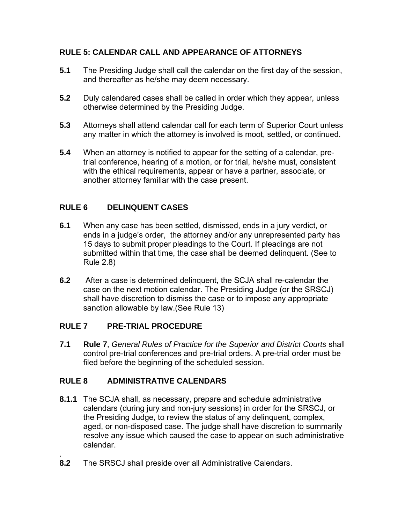## **RULE 5: CALENDAR CALL AND APPEARANCE OF ATTORNEYS**

- **5.1** The Presiding Judge shall call the calendar on the first day of the session, and thereafter as he/she may deem necessary.
- **5.2** Duly calendared cases shall be called in order which they appear, unless otherwise determined by the Presiding Judge.
- **5.3** Attorneys shall attend calendar call for each term of Superior Court unless any matter in which the attorney is involved is moot, settled, or continued.
- **5.4** When an attorney is notified to appear for the setting of a calendar, pretrial conference, hearing of a motion, or for trial, he/she must, consistent with the ethical requirements, appear or have a partner, associate, or another attorney familiar with the case present.

## **RULE 6 DELINQUENT CASES**

- **6.1** When any case has been settled, dismissed, ends in a jury verdict, or ends in a judge's order, the attorney and/or any unrepresented party has 15 days to submit proper pleadings to the Court. If pleadings are not submitted within that time, the case shall be deemed delinquent. (See to Rule 2.8)
- **6.2** After a case is determined delinquent, the SCJA shall re-calendar the case on the next motion calendar. The Presiding Judge (or the SRSCJ) shall have discretion to dismiss the case or to impose any appropriate sanction allowable by law.(See Rule 13)

## **RULE 7 PRE-TRIAL PROCEDURE**

.

**7.1 Rule 7**, *General Rules of Practice for the Superior and District Courts* shall control pre-trial conferences and pre-trial orders. A pre-trial order must be filed before the beginning of the scheduled session.

## **RULE 8 ADMINISTRATIVE CALENDARS**

- **8.1.1** The SCJA shall, as necessary, prepare and schedule administrative calendars (during jury and non-jury sessions) in order for the SRSCJ, or the Presiding Judge, to review the status of any delinquent, complex, aged, or non-disposed case. The judge shall have discretion to summarily resolve any issue which caused the case to appear on such administrative calendar.
- **8.2** The SRSCJ shall preside over all Administrative Calendars.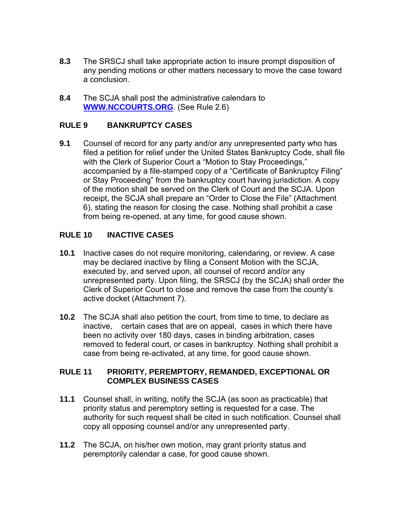- **8.3** The SRSCJ shall take appropriate action to insure prompt disposition of any pending motions or other matters necessary to move the case toward a conclusion.
- **8.4** The SCJA shall post the administrative calendars to **[WWW.NCCOURTS.ORG](http://www.nccourts.org/)**. (See Rule 2.6)

## **RULE 9 BANKRUPTCY CASES**

**9.1** Counsel of record for any party and/or any unrepresented party who has filed a petition for relief under the United States Bankruptcy Code, shall file with the Clerk of Superior Court a "Motion to Stay Proceedings," accompanied by a file-stamped copy of a "Certificate of Bankruptcy Filing" or Stay Proceeding" from the bankruptcy court having jurisdiction. A copy of the motion shall be served on the Clerk of Court and the SCJA. Upon receipt, the SCJA shall prepare an "Order to Close the File" (Attachment 6), stating the reason for closing the case. Nothing shall prohibit a case from being re-opened, at any time, for good cause shown.

## **RULE 10 INACTIVE CASES**

- **10.1** Inactive cases do not require monitoring, calendaring, or review. A case may be declared inactive by filing a Consent Motion with the SCJA, executed by, and served upon, all counsel of record and/or any unrepresented party. Upon filing, the SRSCJ (by the SCJA) shall order the Clerk of Superior Court to close and remove the case from the county's active docket (Attachment 7).
- **10.2** The SCJA shall also petition the court, from time to time, to declare as inactive, certain cases that are on appeal, cases in which there have been no activity over 180 days, cases in binding arbitration, cases removed to federal court, or cases in bankruptcy. Nothing shall prohibit a case from being re-activated, at any time, for good cause shown.

## **RULE 11 PRIORITY, PEREMPTORY, REMANDED, EXCEPTIONAL OR COMPLEX BUSINESS CASES**

- **11.1** Counsel shall, in writing, notify the SCJA (as soon as practicable) that priority status and peremptory setting is requested for a case. The authority for such request shall be cited in such notification. Counsel shall copy all opposing counsel and/or any unrepresented party.
- **11.2** The SCJA, on his/her own motion, may grant priority status and peremptorily calendar a case, for good cause shown.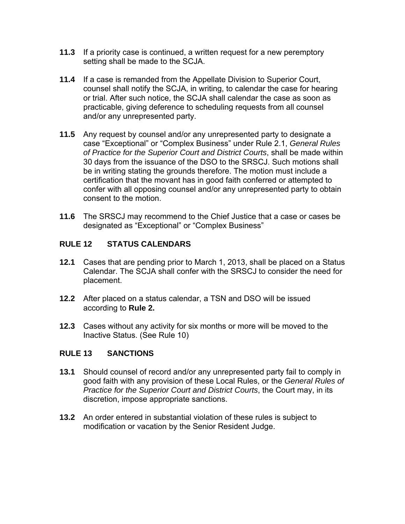- **11.3** If a priority case is continued, a written request for a new peremptory setting shall be made to the SCJA.
- **11.4** If a case is remanded from the Appellate Division to Superior Court, counsel shall notify the SCJA, in writing, to calendar the case for hearing or trial. After such notice, the SCJA shall calendar the case as soon as practicable, giving deference to scheduling requests from all counsel and/or any unrepresented party.
- **11.5** Any request by counsel and/or any unrepresented party to designate a case "Exceptional" or "Complex Business" under Rule 2.1, *General Rules of Practice for the Superior Court and District Courts*, shall be made within 30 days from the issuance of the DSO to the SRSCJ. Such motions shall be in writing stating the grounds therefore. The motion must include a certification that the movant has in good faith conferred or attempted to confer with all opposing counsel and/or any unrepresented party to obtain consent to the motion.
- **11.6** The SRSCJ may recommend to the Chief Justice that a case or cases be designated as "Exceptional" or "Complex Business"

## **RULE 12 STATUS CALENDARS**

- **12.1** Cases that are pending prior to March 1, 2013, shall be placed on a Status Calendar. The SCJA shall confer with the SRSCJ to consider the need for placement.
- **12.2** After placed on a status calendar, a TSN and DSO will be issued according to **Rule 2.**
- **12.3** Cases without any activity for six months or more will be moved to the Inactive Status. (See Rule 10)

## **RULE 13 SANCTIONS**

- **13.1** Should counsel of record and/or any unrepresented party fail to comply in good faith with any provision of these Local Rules, or the *General Rules of Practice for the Superior Court and District Courts*, the Court may, in its discretion, impose appropriate sanctions.
- **13.2** An order entered in substantial violation of these rules is subject to modification or vacation by the Senior Resident Judge.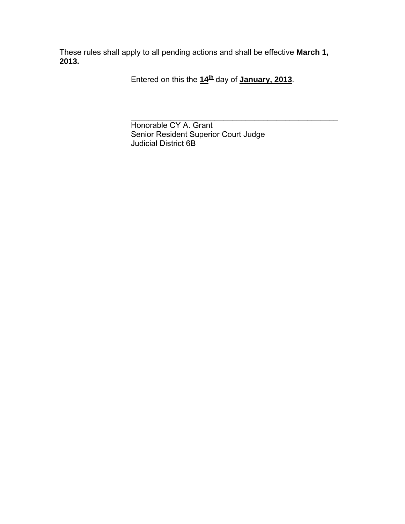These rules shall apply to all pending actions and shall be effective **March 1, 2013.** 

Entered on this the  $14^{th}$  day of **January, 2013**.

 Honorable CY A. Grant Senior Resident Superior Court Judge Judicial District 6B

 $\mathcal{L}_\text{max} = \mathcal{L}_\text{max} = \frac{1}{2} \sum_{i=1}^{n} \frac{1}{2} \sum_{i=1}^{n} \frac{1}{2} \sum_{i=1}^{n} \frac{1}{2} \sum_{i=1}^{n} \frac{1}{2} \sum_{i=1}^{n} \frac{1}{2} \sum_{i=1}^{n} \frac{1}{2} \sum_{i=1}^{n} \frac{1}{2} \sum_{i=1}^{n} \frac{1}{2} \sum_{i=1}^{n} \frac{1}{2} \sum_{i=1}^{n} \frac{1}{2} \sum_{i=1}^{n} \frac{1}{2} \sum$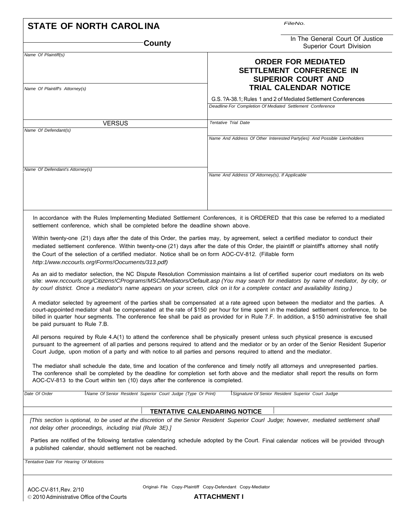| <b>STATE OF NORTH CAROLINA</b>                                                                                                                             | FileNo.                                                                                                                                                                                                                                                                                                                                                                                                                       |
|------------------------------------------------------------------------------------------------------------------------------------------------------------|-------------------------------------------------------------------------------------------------------------------------------------------------------------------------------------------------------------------------------------------------------------------------------------------------------------------------------------------------------------------------------------------------------------------------------|
| <b>County</b>                                                                                                                                              | In The General Court Of Justice<br>Superior Court Division                                                                                                                                                                                                                                                                                                                                                                    |
| Name Of Plaintiff(s)                                                                                                                                       | <b>ORDER FOR MEDIATED</b><br>SETTLEMENT CONFERENCE IN<br><b>SUPERIOR COURT AND</b><br><b>TRIAL CALENDAR NOTICE</b>                                                                                                                                                                                                                                                                                                            |
| Name Of Plaintiff's Attorney(s)                                                                                                                            | G.S. ?A-38.1; Rules 1 and 2 of Mediated Settlement Conferences<br>Deadline For Completion Of Mediated Settlement Conference                                                                                                                                                                                                                                                                                                   |
|                                                                                                                                                            |                                                                                                                                                                                                                                                                                                                                                                                                                               |
| <b>VERSUS</b><br>Name Of Defendant(s)                                                                                                                      | <b>Tentative Trial Date</b>                                                                                                                                                                                                                                                                                                                                                                                                   |
|                                                                                                                                                            | Name And Address Of Other Interested Party(ies) And Possible Lienholders                                                                                                                                                                                                                                                                                                                                                      |
| Name Of Defendant's Attorney(s)                                                                                                                            | Name And Address Of Attorney(s), If Applicable                                                                                                                                                                                                                                                                                                                                                                                |
|                                                                                                                                                            |                                                                                                                                                                                                                                                                                                                                                                                                                               |
| settlement conference, which shall be completed before the deadline shown above.                                                                           | In accordance with the Rules Implementing Mediated Settlement Conferences, it is ORDERED that this case be referred to a mediated                                                                                                                                                                                                                                                                                             |
| the Court of the selection of a certified mediator. Notice shall be on form AOC-CV-812. (Fillable form<br>http:1/www.nccourls.org!Forms!Oocuments/313.pdf) | Within twenty-one (21) days after the date of this Order, the parties may, by agreement, select a certified mediator to conduct their<br>mediated settlement conference. Within twenty-one (21) days after the date of this Order, the plaintiff or plaintiff's attorney shall notify                                                                                                                                         |
| by courl district. Once a mediator's name appears on your screen, click on it for a complete contact and availability listing.)                            | As an aid to mediator selection, the NC Dispute Resolution Commission maintains a list of certified superior court mediators on its web<br>site: www.nccourls.org/Citizens!CPrograms!MSC/Mediators/Oefault.asp (You may search for mediators by name of mediator, by city, or                                                                                                                                                 |
| be paid pursuant to Rule 7.B.                                                                                                                              | A mediator selected by agreement of the parties shall be compensated at a rate agreed upon between the mediator and the parties. A<br>court-appointed mediator shall be compensated at the rate of \$150 per hour for time spent in the mediated settlement conference, to be<br>billed in quarter hour segments. The conference fee shall be paid as provided for in Rule 7.F. In addition, a \$150 administrative fee shall |
| Court Judge, upon motion of a party and with notice to all parties and persons required to attend and the mediator.                                        | All persons required by Rule 4.A(1) to attend the conference shall be physically present unless such physical presence is excused<br>pursuant to the agreement of all parties and persons required to attend and the mediator or by an order of the Senior Resident Superior                                                                                                                                                  |
| AOC-CV-813 to the Court within ten (10) days after the conference is completed.                                                                            | The mediator shall schedule the date, time and location of the conference and timely notify all attorneys and unrepresented parties.<br>The conference shall be completed by the deadline for completion set forth above and the mediator shall report the results on form                                                                                                                                                    |
| Name Of Senior Resident Superior Court Judge (Type Or Print)<br>Date Of Order                                                                              | Signature Of Senior Resident Superior Court Judge                                                                                                                                                                                                                                                                                                                                                                             |
|                                                                                                                                                            | <b>TENTATIVE CALENDARING NOTICE</b>                                                                                                                                                                                                                                                                                                                                                                                           |
| not delay other proceedings, including trial (Rule 3E).]                                                                                                   | [This section is optional, to be used at the discretion of the Senior Resident Superior Courl Judge; however, mediated settlement shall                                                                                                                                                                                                                                                                                       |
| a published calendar, should settlement not be reached.                                                                                                    | Parties are notified of the following tentative calendaring schedule adopted by the Court. Final calendar notices will be provided through                                                                                                                                                                                                                                                                                    |
| Tentative Date For Hearing Of Motions                                                                                                                      |                                                                                                                                                                                                                                                                                                                                                                                                                               |
|                                                                                                                                                            | Original- File Copy-Plaintiff Copy-Defendant Copy-Mediator                                                                                                                                                                                                                                                                                                                                                                    |
| AOC-CV-811, Rev. 2/10<br>© 2010 Administrative Office of the Courts                                                                                        | <b>ATTACHMENT I</b>                                                                                                                                                                                                                                                                                                                                                                                                           |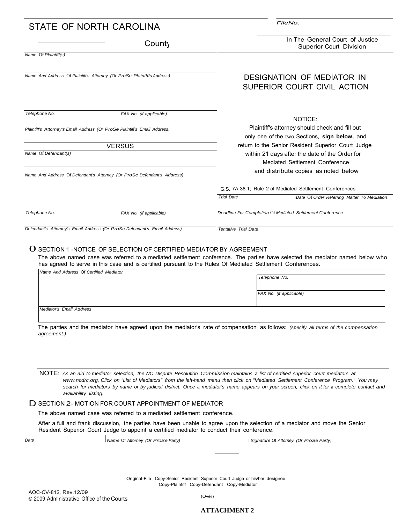| STATE OF NORTH CAROLINA                                             |                                                                                                                                 | FileNo.                                                                                                                                                                                                                                                                                                                                                                                                                     |  |
|---------------------------------------------------------------------|---------------------------------------------------------------------------------------------------------------------------------|-----------------------------------------------------------------------------------------------------------------------------------------------------------------------------------------------------------------------------------------------------------------------------------------------------------------------------------------------------------------------------------------------------------------------------|--|
|                                                                     | County                                                                                                                          | In The General Court of Justice<br><b>Superior Court Division</b>                                                                                                                                                                                                                                                                                                                                                           |  |
| Name Of Plaintfff(s)                                                |                                                                                                                                 |                                                                                                                                                                                                                                                                                                                                                                                                                             |  |
|                                                                     | Name And Address Of Plaintiff's Attorney (Or ProSe Plaintfffs Address)                                                          | <b>DESIGNATION OF MEDIATOR IN</b><br>SUPERIOR COURT CIVIL ACTION                                                                                                                                                                                                                                                                                                                                                            |  |
| Telephone No.                                                       | IFAX No. (if applicable)                                                                                                        | NOTICE:                                                                                                                                                                                                                                                                                                                                                                                                                     |  |
|                                                                     | Plaintiff's Attorney's Email Address (Or ProSe Plaintiff's Email Address)                                                       | Plaintiff's attorney should check and fill out<br>only one of the two Sections, sign below, and                                                                                                                                                                                                                                                                                                                             |  |
|                                                                     | <b>VERSUS</b>                                                                                                                   | return to the Senior Resident Superior Court Judge                                                                                                                                                                                                                                                                                                                                                                          |  |
| Name Of Defendant(s)                                                |                                                                                                                                 | within 21 days after the date of the Order for<br>Mediated Settlement Conference                                                                                                                                                                                                                                                                                                                                            |  |
|                                                                     | Name And Address Of Defendant's Attorney (Or ProSe Defendant's Address)                                                         | and distribute copies as noted below                                                                                                                                                                                                                                                                                                                                                                                        |  |
|                                                                     |                                                                                                                                 | G.S. 7A-38.1; Rule 2 of Mediated Settlement Conferences                                                                                                                                                                                                                                                                                                                                                                     |  |
|                                                                     |                                                                                                                                 | <b>Trial Date</b><br>Date Of Order Referring Matter To Mediation                                                                                                                                                                                                                                                                                                                                                            |  |
| Telephone No.                                                       | IFAX No. (if applicable)                                                                                                        | Deadline For Completion Of Mediated Settlement Conference                                                                                                                                                                                                                                                                                                                                                                   |  |
|                                                                     | Defendant's Attorney's Email Address (Or ProSe Defendant's Email Address)                                                       | <b>Tentative Trial Date</b>                                                                                                                                                                                                                                                                                                                                                                                                 |  |
| Name And Address Of Certified Mediator                              |                                                                                                                                 | has agreed to serve in this case and is certified pursuant to the Rules Of Mediated Settlement Conferences.<br>Telephone No.                                                                                                                                                                                                                                                                                                |  |
|                                                                     |                                                                                                                                 | FAX No. (if applicable)                                                                                                                                                                                                                                                                                                                                                                                                     |  |
| Mediator's Email Address                                            |                                                                                                                                 |                                                                                                                                                                                                                                                                                                                                                                                                                             |  |
| agreement.)                                                         |                                                                                                                                 | The parties and the mediator have agreed upon the mediator's rate of compensation as follows: (specify all terms of the compensation                                                                                                                                                                                                                                                                                        |  |
| availability listing.                                               |                                                                                                                                 | NOTE: As an aid to mediator selection, the NC Dispute Resolution Commission maintains a list of certified superior court mediators at<br>www.ncdrc.org. Click on "List of Mediators" from the left-hand menu then click on "Mediated Settlement Conference Program." You may<br>search for mediators by name or by judicial district. Once a mediator's name appears on your screen, click on it for a complete contact and |  |
|                                                                     | D SECTION 2- MOTION FOR COURT APPOINTMENT OF MEDIATOR                                                                           |                                                                                                                                                                                                                                                                                                                                                                                                                             |  |
|                                                                     | The above named case was referred to a mediated settlement conference.                                                          | After a full and frank discussion, the parties have been unable to agree upon the selection of a mediator and move the Senior                                                                                                                                                                                                                                                                                               |  |
| Date                                                                | Resident Superior Court Judge to appoint a certified mediator to conduct their conference.<br>Name Of Attorney (Or ProSe Party) | Signature Of Attorney (Or ProSe Party)                                                                                                                                                                                                                                                                                                                                                                                      |  |
|                                                                     |                                                                                                                                 |                                                                                                                                                                                                                                                                                                                                                                                                                             |  |
|                                                                     |                                                                                                                                 |                                                                                                                                                                                                                                                                                                                                                                                                                             |  |
|                                                                     |                                                                                                                                 | Original-File Copy-Senior Resident Superior Court Judge or his/her designee<br>Copy-Plaintiff Copy-Defendant Copy-Mediator                                                                                                                                                                                                                                                                                                  |  |
| AOC-CV-812, Rev.12/09<br>© 2009 Administrative Office of the Courts |                                                                                                                                 | (Over)                                                                                                                                                                                                                                                                                                                                                                                                                      |  |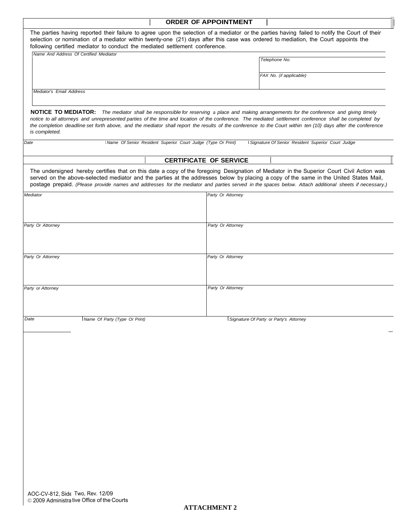|                                        |                                                                                                                                                                                                                   | <b>ORDER OF APPOINTMENT</b>   |                                                                                                                                                                                                                                                                                                                                                                                                                                                                   |
|----------------------------------------|-------------------------------------------------------------------------------------------------------------------------------------------------------------------------------------------------------------------|-------------------------------|-------------------------------------------------------------------------------------------------------------------------------------------------------------------------------------------------------------------------------------------------------------------------------------------------------------------------------------------------------------------------------------------------------------------------------------------------------------------|
|                                        | selection or nomination of a mediator within twenty-one (21) days after this case was ordered to mediation, the Court appoints the<br>following certified mediator to conduct the mediated settlement conference. |                               | The parties having reported their failure to agree upon the selection of a mediator or the parties having failed to notify the Court of their                                                                                                                                                                                                                                                                                                                     |
| Name And Address Of Certified Mediator |                                                                                                                                                                                                                   | Telephone No.                 |                                                                                                                                                                                                                                                                                                                                                                                                                                                                   |
|                                        |                                                                                                                                                                                                                   |                               | FAX No. (if applicable)                                                                                                                                                                                                                                                                                                                                                                                                                                           |
| Mediator's Email Address               |                                                                                                                                                                                                                   |                               |                                                                                                                                                                                                                                                                                                                                                                                                                                                                   |
| is completed.                          |                                                                                                                                                                                                                   |                               | NOTICE TO MEDIATOR: The mediator shall be responsible for reserving a place and making arrangements for the conference and giving timely<br>notice to all attorneys and unrepresented parties of the time and location of the conference. The mediated settlement conference shall be completed by<br>the completion deadline set forth above, and the mediator shall report the results of the conference to the Court within ten (10) days after the conference |
| Date                                   | I Name Of Senior Resident Superior Court Judge (Type Or Print)                                                                                                                                                    |                               | I Signature Of Senior Resident Superior Court Judge                                                                                                                                                                                                                                                                                                                                                                                                               |
|                                        |                                                                                                                                                                                                                   | <b>CERTIFICATE OF SERVICE</b> |                                                                                                                                                                                                                                                                                                                                                                                                                                                                   |
|                                        |                                                                                                                                                                                                                   |                               | The undersigned hereby certifies that on this date a copy of the foregoing Designation of Mediator in the Superior Court Civil Action was<br>served on the above-selected mediator and the parties at the addresses below by placing a copy of the same in the United States Mail,<br>postage prepaid. (Please provide names and addresses for the mediator and parties served in the spaces below. Attach additional sheets if necessary.)                       |
| Mediator                               |                                                                                                                                                                                                                   | Party Or Attorney             |                                                                                                                                                                                                                                                                                                                                                                                                                                                                   |
|                                        |                                                                                                                                                                                                                   |                               |                                                                                                                                                                                                                                                                                                                                                                                                                                                                   |
| Party Or Attorney                      |                                                                                                                                                                                                                   | Party Or Attorney             |                                                                                                                                                                                                                                                                                                                                                                                                                                                                   |
| Party Or Attorney                      |                                                                                                                                                                                                                   | Party Or Attorney             |                                                                                                                                                                                                                                                                                                                                                                                                                                                                   |
| Party or Attorney                      |                                                                                                                                                                                                                   | Party Or Attorney             |                                                                                                                                                                                                                                                                                                                                                                                                                                                                   |
| Date                                   | Name Of Party (Type Or Print)                                                                                                                                                                                     |                               | Signature Of Party or Party's Attorney                                                                                                                                                                                                                                                                                                                                                                                                                            |
|                                        |                                                                                                                                                                                                                   |                               |                                                                                                                                                                                                                                                                                                                                                                                                                                                                   |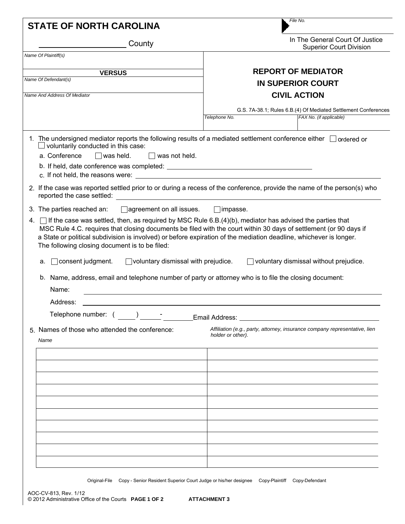|                      | <b>STATE OF NORTH CAROLINA</b>                                  | File No.                                                                                                                                                                                                                                                                                                                                            |
|----------------------|-----------------------------------------------------------------|-----------------------------------------------------------------------------------------------------------------------------------------------------------------------------------------------------------------------------------------------------------------------------------------------------------------------------------------------------|
|                      | County                                                          | In The General Court Of Justice<br><b>Superior Court Division</b>                                                                                                                                                                                                                                                                                   |
| Name Of Plaintiff(s) |                                                                 |                                                                                                                                                                                                                                                                                                                                                     |
|                      | <b>VERSUS</b>                                                   | <b>REPORT OF MEDIATOR</b>                                                                                                                                                                                                                                                                                                                           |
| Name Of Defendant(s) |                                                                 | <b>IN SUPERIOR COURT</b>                                                                                                                                                                                                                                                                                                                            |
|                      | Name And Address Of Mediator                                    | <b>CIVIL ACTION</b>                                                                                                                                                                                                                                                                                                                                 |
|                      |                                                                 | G.S. 7A-38.1; Rules 6.B.(4) Of Mediated Settlement Conferences                                                                                                                                                                                                                                                                                      |
|                      |                                                                 | Telephone No.<br>FAX No. (if applicable)                                                                                                                                                                                                                                                                                                            |
|                      | $\Box$ voluntarily conducted in this case:                      | 1. The undersigned mediator reports the following results of a mediated settlement conference either $\Box$ ordered or                                                                                                                                                                                                                              |
|                      | a. Conference<br>$\Box$ was held.<br>$\Box$ was not held.       |                                                                                                                                                                                                                                                                                                                                                     |
|                      |                                                                 |                                                                                                                                                                                                                                                                                                                                                     |
|                      |                                                                 |                                                                                                                                                                                                                                                                                                                                                     |
|                      | reported the case settled:                                      | 2. If the case was reported settled prior to or during a recess of the conference, provide the name of the person(s) who<br><u> 1980 - Jan Salam Barat, masjid a shekara ta 1980 - An tsara ta 1980 - An tsara ta 1980 - An tsara ta 1980 -</u>                                                                                                     |
|                      | 3. The parties reached an:<br>$\Box$ agreement on all issues.   | $\Box$ impasse.                                                                                                                                                                                                                                                                                                                                     |
| 4.                   | The following closing document is to be filed:                  | If the case was settled, then, as required by MSC Rule 6.B.(4)(b), mediator has advised the parties that<br>MSC Rule 4.C. requires that closing documents be filed with the court within 30 days of settlement (or 90 days if<br>a State or political subdivision is involved) or before expiration of the mediation deadline, whichever is longer. |
| а.                   | $\Box$ voluntary dismissal with prejudice.<br>consent judgment. | $\Box$ voluntary dismissal without prejudice.                                                                                                                                                                                                                                                                                                       |
|                      |                                                                 | b. Name, address, email and telephone number of party or attorney who is to file the closing document:                                                                                                                                                                                                                                              |
|                      | Name:                                                           |                                                                                                                                                                                                                                                                                                                                                     |
|                      | Address:                                                        |                                                                                                                                                                                                                                                                                                                                                     |
|                      | Telephone number: (                                             |                                                                                                                                                                                                                                                                                                                                                     |
| Name                 | 5. Names of those who attended the conference:                  | Affiliation (e.g., party, attorney, insurance company representative, lien<br>holder or other).                                                                                                                                                                                                                                                     |
|                      |                                                                 |                                                                                                                                                                                                                                                                                                                                                     |
|                      |                                                                 |                                                                                                                                                                                                                                                                                                                                                     |
|                      |                                                                 |                                                                                                                                                                                                                                                                                                                                                     |
|                      |                                                                 |                                                                                                                                                                                                                                                                                                                                                     |
|                      |                                                                 |                                                                                                                                                                                                                                                                                                                                                     |
|                      |                                                                 |                                                                                                                                                                                                                                                                                                                                                     |
|                      |                                                                 |                                                                                                                                                                                                                                                                                                                                                     |
|                      |                                                                 |                                                                                                                                                                                                                                                                                                                                                     |
|                      |                                                                 |                                                                                                                                                                                                                                                                                                                                                     |
|                      |                                                                 |                                                                                                                                                                                                                                                                                                                                                     |
|                      |                                                                 |                                                                                                                                                                                                                                                                                                                                                     |

-

Original-File Copy - Senior Resident Superior Court Judge or his/her designee Copy-Plaintiff Copy-Defendant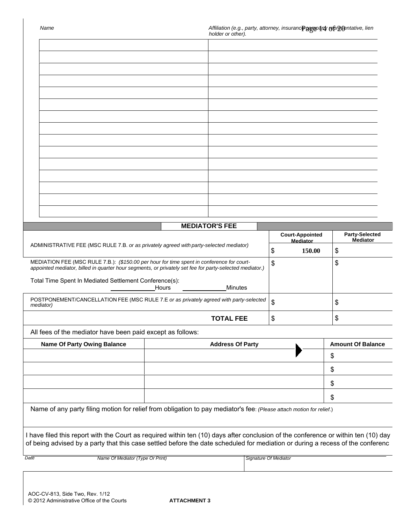| $\ldots$ |
|----------|
|          |
|          |
|          |
|          |
|          |
|          |
|          |
|          |
|          |
|          |
|          |
|          |
|          |
|          |
|          |
|          |

| <b>MEDIATOR'S FEE</b>                                                                                                                                                                                |                                           |                                          |
|------------------------------------------------------------------------------------------------------------------------------------------------------------------------------------------------------|-------------------------------------------|------------------------------------------|
|                                                                                                                                                                                                      | <b>Court-Appointed</b><br><b>Mediator</b> | <b>Party-Selected</b><br><b>Mediator</b> |
| ADMINISTRATIVE FEE (MSC RULE 7.B. or as privately agreed with party-selected mediator)                                                                                                               | \$<br>150.00                              | \$                                       |
| MEDIATION FEE (MSC RULE 7.B.): (\$150.00 per hour for time spent in conference for court-<br>appointed mediator, billed in quarter hour segments, or privately set fee for party-selected mediator.) | \$                                        | \$                                       |
| Total Time Spent In Mediated Settlement Conference(s):<br>Hours<br>Minutes                                                                                                                           |                                           |                                          |
| POSTPONEMENT/CANCELLATION FEE (MSC RULE 7.E or as privately agreed with party-selected  <br><i>mediator</i> )                                                                                        | $\sqrt{3}$                                | Φ                                        |
| <b>TOTAL FEE</b>                                                                                                                                                                                     | Φ                                         |                                          |

All fees of the mediator have been paid except as follows:

| <b>Name Of Party Owing Balance</b> | <b>Address Of Party</b> | <b>Amount Of Balance</b> |
|------------------------------------|-------------------------|--------------------------|
|                                    |                         | \$                       |
|                                    |                         | \$.                      |
|                                    |                         | S                        |
|                                    |                         | S                        |
|                                    |                         |                          |

Name of any party filing motion for relief from obligation to pay mediator's fee: *(Please attach motion for relief*.)

I have filed this report with the Court as required within ten (10) days after conclusion of the conference or within ten (10) day of being advised by a party that this case settled before the date scheduled for mediation or during a recess of the conferenc

| ۰,<br>---- | ۰. |
|------------|----|
|            |    |

*Date Name Of Mediator (Type Or Print) Signature Of Mediator*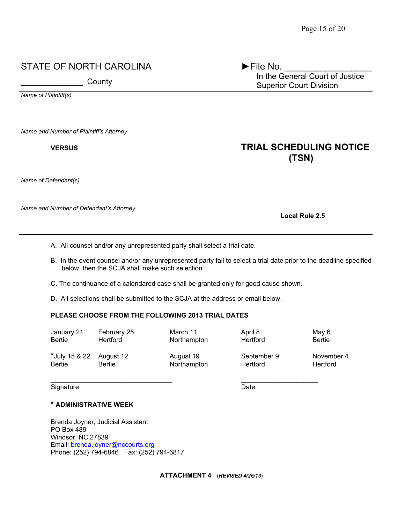## STATE OF NORTH CAROLINA ► File No.

*Name of Plaintiff(s)* 

*Name and Number of Plaintiff's Attorney*

*Name of Defendant(s)* 

*Name and Number of Defendant's Attorney*

In the General Court of Justice<br>
County **County** County Superior Court Division

## **VERSUS TRIAL SCHEDULING NOTICE**  **(TSN)**

**Local Rule 2.5**

A. All counsel and/or any unrepresented party shall select a trial date.

B. In the event counsel and/or any unrepresented party fail to select a trial date prior to the deadline specified below, then the SCJA shall make such selection.

C. The continuance of a calendared case shall be granted only for good cause shown.

D. All selections shall be submitted to the SCJA at the address or email below.

#### **PLEASE CHOOSE FROM THE FOLLOWING 2013 TRIAL DATES**

| January 21    | February 25     | March 11    | April 8         | May 6         |
|---------------|-----------------|-------------|-----------------|---------------|
| <b>Bertie</b> | <b>Hertford</b> | Northampton | <b>Hertford</b> | <b>Bertie</b> |
| *July 15 & 22 | August 12       | August 19   | September 9     | November 4    |
| <b>Bertie</b> | <b>Bertie</b>   | Northampton | <b>Hertford</b> | Hertford      |

\_\_\_\_\_\_\_\_\_\_\_\_\_\_\_\_\_\_\_\_\_\_\_\_\_\_\_\_\_\_\_\_\_ \_\_\_\_\_\_\_\_\_\_\_\_\_\_\_\_\_\_\_\_\_ Signature Date

#### **\* ADMINISTRATIVE WEEK**

Brenda Joyner, Judicial Assistant PO Box 489 Windsor, NC 27839 Email: br[enda.joyner@nccourts.org](mailto:brenda.joyner@nccourts.org) Phone: (252) 794-6846 Fax: (252) 794-6817

**ATTACHMENT 4** (*REVISED 4/25/13*)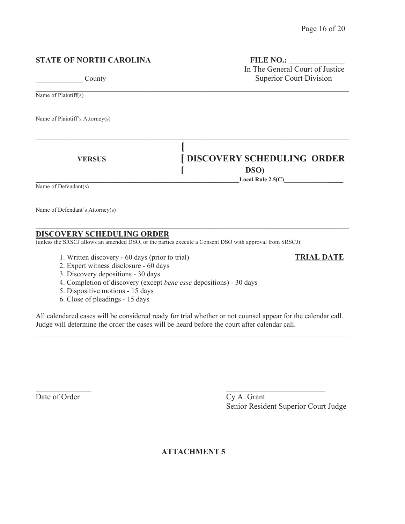## **STATE OF NORTH CAROLINA FILE NO.:**

\_\_\_\_\_\_\_\_\_**\_\_\_\_\_\_\_\_\_\_\_\_\_\_\_\_\_\_\_\_\_\_\_\_\_\_\_\_\_\_\_\_\_\_\_\_\_\_\_\_\_\_\_\_\_\_\_\_\_\_\_\_\_\_\_\_\_\_\_\_\_\_\_\_\_\_\_\_\_\_** Name of Plaintiff(s)

Name of Plaintiff's Attorney(s)

 In The General Court of Justice County County Superior Court Division

**VERSUS [ DISCOVERY SCHEDULING ORDER [ DSO) Local Rule 2.5(C)** 

Name of Defendant(s)

Name of Defendant's Attorney(s)

#### **DISCOVERY SCHEDULING ORDER**

(unless the SRSCJ allows an amended DSO, or the parties execute a Consent DSO with approval from SRSCJ):

1. Written discovery - 60 days (prior to trial) **TRIAL DATE**

- 2. Expert witness disclosure 60 days
- 3. Discovery depositions 30 days
- 4. Completion of discovery (except *bene esse* depositions) 30 days
- 5. Dispositive motions 15 days
- 6. Close of pleadings 15 days

All calendared cases will be considered ready for trial whether or not counsel appear for the calendar call. Judge will determine the order the cases will be heard before the court after calendar call.

 $\_$  ,  $\_$  ,  $\_$  ,  $\_$  ,  $\_$  ,  $\_$  ,  $\_$  ,  $\_$  ,  $\_$  ,  $\_$  ,  $\_$  ,  $\_$  ,  $\_$  ,  $\_$  ,  $\_$  ,  $\_$  ,  $\_$  ,  $\_$  ,  $\_$  ,  $\_$  ,  $\_$  ,  $\_$  ,  $\_$  ,  $\_$  ,  $\_$  ,  $\_$  ,  $\_$  ,  $\_$  ,  $\_$  ,  $\_$  ,  $\_$  ,  $\_$  ,  $\_$  ,  $\_$  ,  $\_$  ,  $\_$  ,  $\_$  ,

**\_\_\_\_\_\_\_\_\_\_\_\_\_\_\_\_\_\_\_\_\_\_\_\_\_\_\_\_\_\_\_\_\_\_\_\_\_\_\_\_\_\_\_\_\_\_\_\_\_\_\_\_\_\_\_\_\_\_\_\_\_\_\_\_\_\_\_\_\_\_\_\_\_\_\_\_\_\_\_**

**\_\_\_\_\_\_\_\_\_\_\_\_\_\_\_\_\_\_\_\_\_\_\_\_\_\_\_\_\_\_\_\_\_\_\_\_\_\_\_\_\_\_\_\_\_\_\_\_\_\_\_\_\_\_\_\_\_\_\_\_\_\_\_\_\_\_\_\_\_\_\_\_\_\_\_\_\_\_\_**

 **[** 

Date of Order Cy A. Grant

 $\overline{\phantom{a}}$  , and the contract of the contract of the contract of the contract of the contract of the contract of the contract of the contract of the contract of the contract of the contract of the contract of the contrac Senior Resident Superior Court Judge

## **ATTACHMENT 5**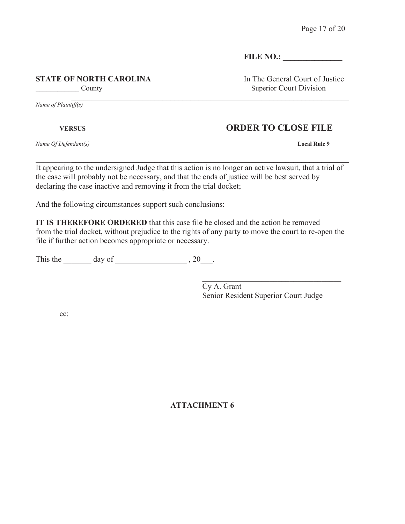FILE NO.:

**STATE OF NORTH CAROLINA In The General Court of Justice** 

*Name of Plaintiff(s)*

*Name Of Defendant(s)* **Local Rule 9** 

**VERSUS ORDER TO CLOSE FILE** 

\_\_\_\_\_\_\_\_\_**\_\_\_\_\_\_\_\_\_\_\_\_\_\_\_\_\_\_\_\_\_\_\_\_\_\_\_\_\_\_\_\_\_\_\_\_\_\_\_\_\_\_\_\_\_\_\_\_\_\_\_\_\_\_\_\_\_\_\_\_\_\_\_\_\_\_\_\_\_\_** It appearing to the undersigned Judge that this action is no longer an active lawsuit, that a trial of the case will probably not be necessary, and that the ends of justice will be best served by declaring the case inactive and removing it from the trial docket;

And the following circumstances support such conclusions:

**IT IS THEREFORE ORDERED** that this case file be closed and the action be removed from the trial docket, without prejudice to the rights of any party to move the court to re-open the file if further action becomes appropriate or necessary.

This the  $\_\_\_\_\_\_\$  day of  $\_\_\_\_\_\_\_\$ , 20 $\_\_\_\_\_\$ .

Cy A. Grant Senior Resident Superior Court Judge

 $\mathcal{L}_\text{max}$  , where  $\mathcal{L}_\text{max}$  , we are the set of the set of the set of the set of the set of the set of the set of the set of the set of the set of the set of the set of the set of the set of the set of the set of

cc:

## **ATTACHMENT 6**

County County Superior Court Division \_\_\_\_\_\_\_\_\_**\_\_\_\_\_\_\_\_\_\_\_\_\_\_\_\_\_\_\_\_\_\_\_\_\_\_\_\_\_\_\_\_\_\_\_\_\_\_\_\_\_\_\_\_\_\_\_\_\_\_\_\_\_\_\_\_\_\_\_\_\_\_\_\_\_\_\_\_\_\_**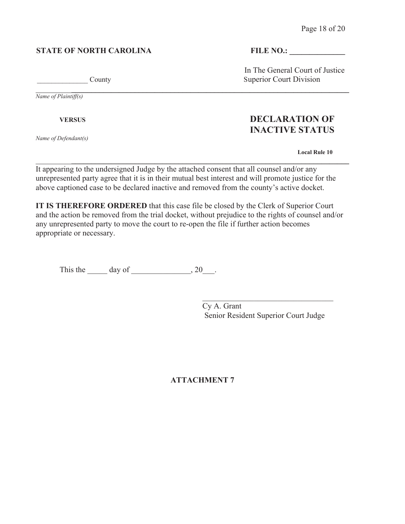## **STATE OF NORTH CAROLINA FILE NO.:**

\_\_\_\_\_\_\_\_\_**\_\_\_\_\_\_\_\_\_\_\_\_\_\_\_\_\_\_\_\_\_\_\_\_\_\_\_\_\_\_\_\_\_\_\_\_\_\_\_\_\_\_\_\_\_\_\_\_\_\_\_\_\_\_\_\_\_\_\_\_\_\_\_\_\_\_\_\_\_\_** *Name of Plaintiff(s)*

*Name of Defendant(s)*

County Superior Court Division In The General Court of Justice

## **VERSUS DECLARATION OF INACTIVE STATUS**

**Local Rule 10** 

\_\_\_\_\_\_\_\_\_**\_\_\_\_\_\_\_\_\_\_\_\_\_\_\_\_\_\_\_\_\_\_\_\_\_\_\_\_\_\_\_\_\_\_\_\_\_\_\_\_\_\_\_\_\_\_\_\_\_\_\_\_\_\_\_\_\_\_\_\_\_\_\_\_\_\_\_\_\_\_** It appearing to the undersigned Judge by the attached consent that all counsel and/or any unrepresented party agree that it is in their mutual best interest and will promote justice for the above captioned case to be declared inactive and removed from the county's active docket.

**IT IS THEREFORE ORDERED** that this case file be closed by the Clerk of Superior Court and the action be removed from the trial docket, without prejudice to the rights of counsel and/or any unrepresented party to move the court to re-open the file if further action becomes appropriate or necessary.

This the  $\_\_\_\_\$  day of  $\_\_\_\_\_\_\$ , 20 $\_\_\_\_\$ .

Cy A. Grant Senior Resident Superior Court Judge

 $\mathcal{L}_\mathcal{L}$  , where  $\mathcal{L}_\mathcal{L}$  , we have the set of the set of the set of the set of the set of the set of the set of the set of the set of the set of the set of the set of the set of the set of the set of the set

## **ATTACHMENT 7**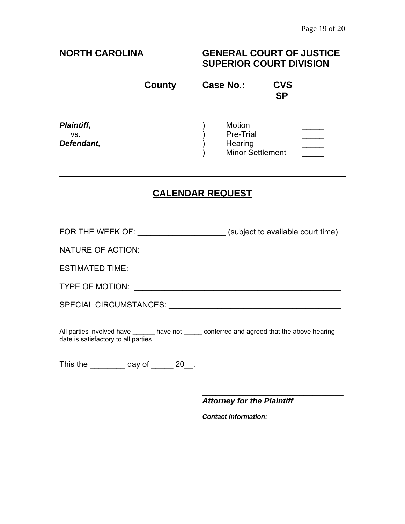## **NORTH CAROLINA GENERAL COURT OF JUSTICE SUPERIOR COURT DIVISION**

|                                        | County | <b>Case No.:</b><br><b>CVS</b><br><b>SP</b>               |
|----------------------------------------|--------|-----------------------------------------------------------|
| <b>Plaintiff,</b><br>VS.<br>Defendant, |        | Motion<br>Pre-Trial<br>Hearing<br><b>Minor Settlement</b> |

## **CALENDAR REQUEST**

FOR THE WEEK OF: \_\_\_\_\_\_\_\_\_\_\_\_\_\_\_\_\_\_\_\_\_\_\_\_\_\_\_\_(subject to available court time)

NATURE OF ACTION:

ESTIMATED TIME:

SPECIAL CIRCUMSTANCES: \_\_\_\_\_\_\_\_\_\_\_\_\_\_\_\_\_\_\_\_\_\_\_\_\_\_\_\_\_\_\_\_\_\_\_\_\_\_\_

All parties involved have \_\_\_\_\_\_\_ have not \_\_\_\_\_ conferred and agreed that the above hearing date is satisfactory to all parties.

This the \_\_\_\_\_\_\_\_\_\_ day of \_\_\_\_\_\_ 20\_\_.

 $\mathcal{L}_\text{max} = \frac{1}{2} \sum_{i=1}^{n} \frac{1}{2} \sum_{i=1}^{n} \frac{1}{2} \sum_{i=1}^{n} \frac{1}{2} \sum_{i=1}^{n} \frac{1}{2} \sum_{i=1}^{n} \frac{1}{2} \sum_{i=1}^{n} \frac{1}{2} \sum_{i=1}^{n} \frac{1}{2} \sum_{i=1}^{n} \frac{1}{2} \sum_{i=1}^{n} \frac{1}{2} \sum_{i=1}^{n} \frac{1}{2} \sum_{i=1}^{n} \frac{1}{2} \sum_{i=1}^{n} \frac{1$ *Attorney for the Plaintiff* 

*Contact Information:*